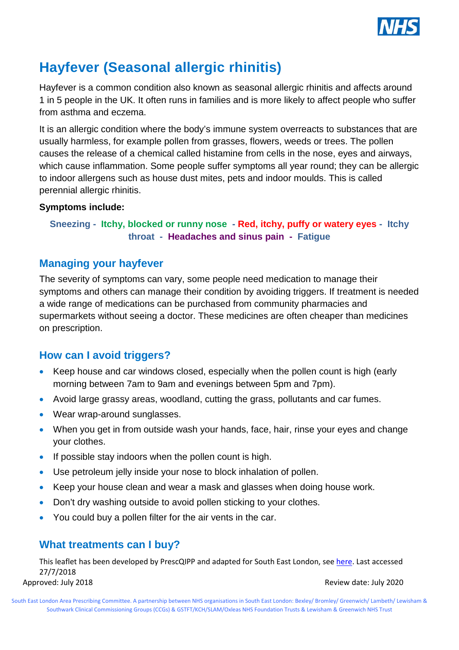

# **Hayfever (Seasonal allergic rhinitis)**

Hayfever is a common condition also known as seasonal allergic rhinitis and affects around 1 in 5 people in the UK. It often runs in families and is more likely to affect people who suffer from asthma and eczema.

It is an allergic condition where the body's immune system overreacts to substances that are usually harmless, for example pollen from grasses, flowers, weeds or trees. The pollen causes the release of a chemical called histamine from cells in the nose, eyes and airways, which cause inflammation. Some people suffer symptoms all year round: they can be allergic to indoor allergens such as house dust mites, pets and indoor moulds. This is called perennial allergic rhinitis.

#### **Symptoms include:**

#### **Sneezing - Itchy, blocked or runny nose - Red, itchy, puffy or watery eyes - Itchy throat - Headaches and sinus pain - Fatigue**

#### **Managing your hayfever**

The severity of symptoms can vary, some people need medication to manage their symptoms and others can manage their condition by avoiding triggers. If treatment is needed a wide range of medications can be purchased from community pharmacies and supermarkets without seeing a doctor. These medicines are often cheaper than medicines on prescription.

### **How can I avoid triggers?**

- Keep house and car windows closed, especially when the pollen count is high (early morning between 7am to 9am and evenings between 5pm and 7pm).
- Avoid large grassy areas, woodland, cutting the grass, pollutants and car fumes.
- Wear wrap-around sunglasses.
- When you get in from outside wash your hands, face, hair, rinse your eyes and change your clothes.
- If possible stay indoors when the pollen count is high.
- Use petroleum jelly inside your nose to block inhalation of pollen.
- Keep your house clean and wear a mask and glasses when doing house work.
- Don't dry washing outside to avoid pollen sticking to your clothes.
- You could buy a pollen filter for the air vents in the car.

### **What treatments can I buy?**

This leaflet has been developed by PrescQIPP and adapted for South East London, see [here.](https://www.prescqipp.info/component/jdownloads/send/143-self-care-hayfever/1750-bulletin-84-hayfever-pil-adaptable) Last accessed 27/7/2018 Approved: July 2018 **Approved: July 2020** 

South East London Area Prescribing Committee. A partnership between NHS organisations in South East London: Bexley/ Bromley/ Greenwich/ Lambeth/ Lewisham & Southwark Clinical Commissioning Groups (CCGs) & GSTFT/KCH/SLAM/Oxleas NHS Foundation Trusts & Lewisham & Greenwich NHS Trust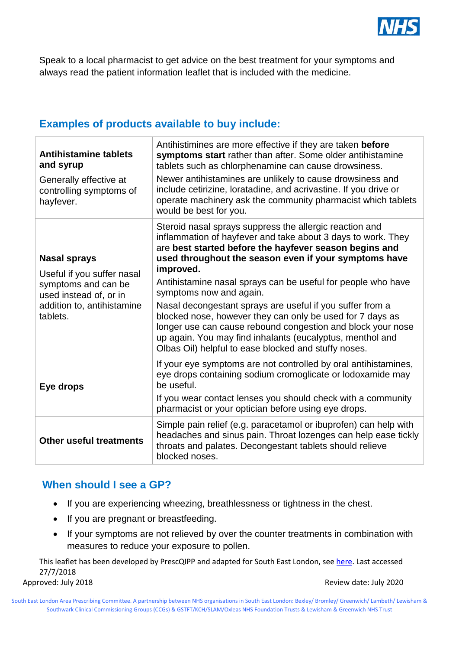

Speak to a local pharmacist to get advice on the best treatment for your symptoms and always read the patient information leaflet that is included with the medicine.

## **Examples of products available to buy include:**

| <b>Antihistamine tablets</b><br>and syrup<br>Generally effective at<br>controlling symptoms of<br>hayfever.                                  | Antihistimines are more effective if they are taken before<br>symptoms start rather than after. Some older antihistamine<br>tablets such as chlorphenamine can cause drowsiness.<br>Newer antihistamines are unlikely to cause drowsiness and<br>include cetirizine, loratadine, and acrivastine. If you drive or<br>operate machinery ask the community pharmacist which tablets<br>would be best for you.                                                                                                                                                                                                                                                      |
|----------------------------------------------------------------------------------------------------------------------------------------------|------------------------------------------------------------------------------------------------------------------------------------------------------------------------------------------------------------------------------------------------------------------------------------------------------------------------------------------------------------------------------------------------------------------------------------------------------------------------------------------------------------------------------------------------------------------------------------------------------------------------------------------------------------------|
| <b>Nasal sprays</b><br>Useful if you suffer nasal<br>symptoms and can be<br>used instead of, or in<br>addition to, antihistamine<br>tablets. | Steroid nasal sprays suppress the allergic reaction and<br>inflammation of hayfever and take about 3 days to work. They<br>are best started before the hayfever season begins and<br>used throughout the season even if your symptoms have<br>improved.<br>Antihistamine nasal sprays can be useful for people who have<br>symptoms now and again.<br>Nasal decongestant sprays are useful if you suffer from a<br>blocked nose, however they can only be used for 7 days as<br>longer use can cause rebound congestion and block your nose<br>up again. You may find inhalants (eucalyptus, menthol and<br>Olbas Oil) helpful to ease blocked and stuffy noses. |
| Eye drops                                                                                                                                    | If your eye symptoms are not controlled by oral antihistamines,<br>eye drops containing sodium cromoglicate or lodoxamide may<br>be useful.<br>If you wear contact lenses you should check with a community<br>pharmacist or your optician before using eye drops.                                                                                                                                                                                                                                                                                                                                                                                               |
| <b>Other useful treatments</b>                                                                                                               | Simple pain relief (e.g. paracetamol or ibuprofen) can help with<br>headaches and sinus pain. Throat lozenges can help ease tickly<br>throats and palates. Decongestant tablets should relieve<br>blocked noses.                                                                                                                                                                                                                                                                                                                                                                                                                                                 |

#### **When should I see a GP?**

- If you are experiencing wheezing, breathlessness or tightness in the chest.
- If you are pregnant or breastfeeding.
- If your symptoms are not relieved by over the counter treatments in combination with measures to reduce your exposure to pollen.

This leaflet has been developed by PrescQIPP and adapted for South East London, see [here.](https://www.prescqipp.info/component/jdownloads/send/143-self-care-hayfever/1750-bulletin-84-hayfever-pil-adaptable) Last accessed 27/7/2018 Approved: July 2018 **Approved: July 2020** 

South East London Area Prescribing Committee. A partnership between NHS organisations in South East London: Bexley/ Bromley/ Greenwich/ Lambeth/ Lewisham & Southwark Clinical Commissioning Groups (CCGs) & GSTFT/KCH/SLAM/Oxleas NHS Foundation Trusts & Lewisham & Greenwich NHS Trust